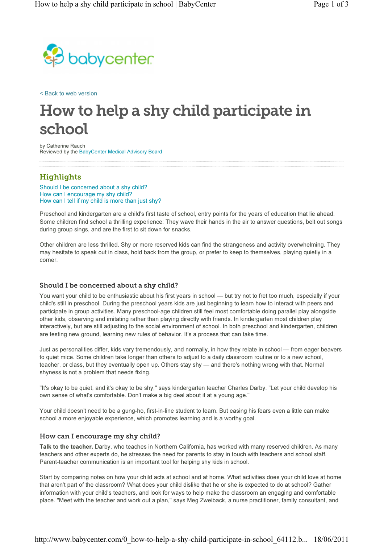

< Back to web version

# How to help a shy child participate in school

by Catherine Rauch Reviewed by the BabyCenter Medical Advisory Board

## **Highlights**

Should I be concerned about a shy child? How can I encourage my shy child? How can I tell if my child is more than just shy?

Preschool and kindergarten are a child's first taste of school, entry points for the years of education that lie ahead. Some children find school a thrilling experience: They wave their hands in the air to answer questions, belt out songs during group sings, and are the first to sit down for snacks.

Other children are less thrilled. Shy or more reserved kids can find the strangeness and activity overwhelming. They may hesitate to speak out in class, hold back from the group, or prefer to keep to themselves, playing quietly in a corner.

### Should I be concerned about a shy child?

You want your child to be enthusiastic about his first years in school — but try not to fret too much, especially if your child's still in preschool. During the preschool years kids are just beginning to learn how to interact with peers and participate in group activities. Many preschool-age children still feel most comfortable doing parallel play alongside other kids, observing and imitating rather than playing directly with friends. In kindergarten most children play interactively, but are still adjusting to the social environment of school. In both preschool and kindergarten, children are testing new ground, learning new rules of behavior. It's a process that can take time.

Just as personalities differ, kids vary tremendously, and normally, in how they relate in school — from eager beavers to quiet mice. Some children take longer than others to adjust to a daily classroom routine or to a new school, teacher, or class, but they eventually open up. Others stay shy — and there's nothing wrong with that. Normal shyness is not a problem that needs fixing.

"It's okay to be quiet, and it's okay to be shy," says kindergarten teacher Charles Darby. "Let your child develop his own sense of what's comfortable. Don't make a big deal about it at a young age."

Your child doesn't need to be a gung-ho, first-in-line student to learn. But easing his fears even a little can make school a more enjoyable experience, which promotes learning and is a worthy goal.

### How can I encourage my shy child?

Talk to the teacher. Darby, who teaches in Northern California, has worked with many reserved children. As many teachers and other experts do, he stresses the need for parents to stay in touch with teachers and school staff. Parent-teacher communication is an important tool for helping shy kids in school.

Start by comparing notes on how your child acts at school and at home. What activities does your child love at home that aren't part of the classroom? What does your child dislike that he or she is expected to do at school? Gather information with your child's teachers, and look for ways to help make the classroom an engaging and comfortable place. "Meet with the teacher and work out a plan," says Meg Zweiback, a nurse practitioner, family consultant, and